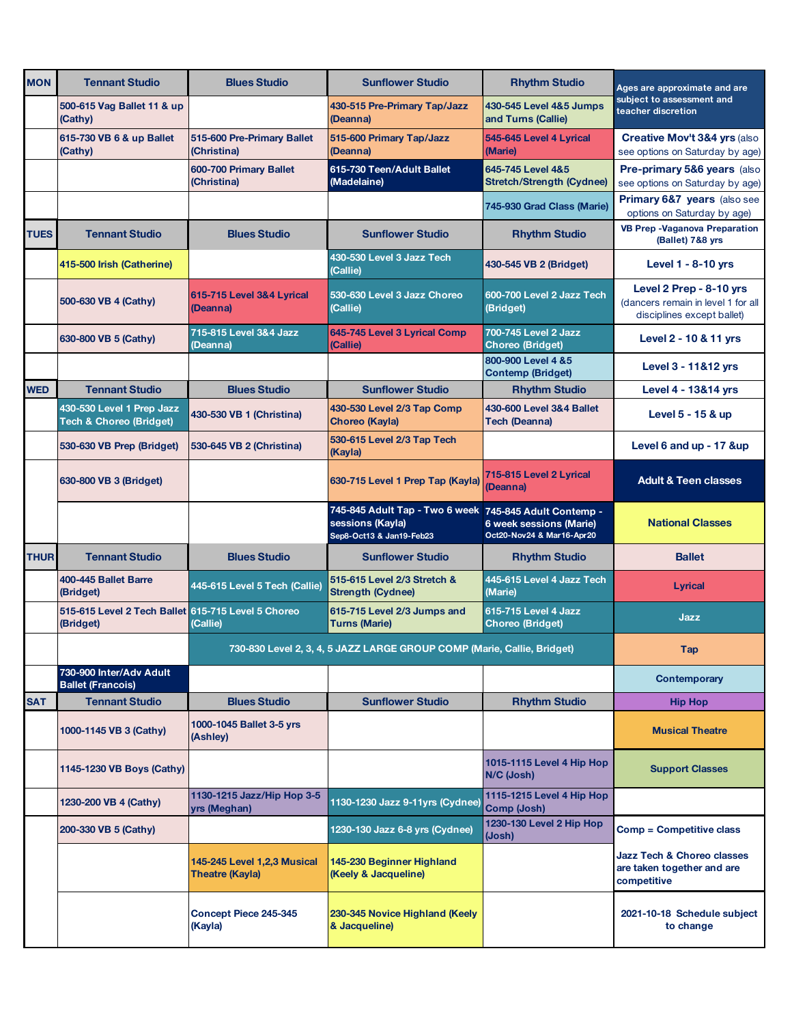| <b>MON</b>  | <b>Tennant Studio</b>                                           | <b>Blues Studio</b>                                   | <b>Sunflower Studio</b>                                                                                | <b>Rhythm Studio</b>                                  | Ages are approximate and are<br>subject to assessment and<br>teacher discretion             |
|-------------|-----------------------------------------------------------------|-------------------------------------------------------|--------------------------------------------------------------------------------------------------------|-------------------------------------------------------|---------------------------------------------------------------------------------------------|
|             | 500-615 Vag Ballet 11 & up<br>(Cathy)                           |                                                       | 430-515 Pre-Primary Tap/Jazz<br>(Deanna)                                                               | 430-545 Level 4&5 Jumps<br>and Turns (Callie)         |                                                                                             |
|             | 615-730 VB 6 & up Ballet<br>(Cathy)                             | 515-600 Pre-Primary Ballet<br>(Christina)             | 515-600 Primary Tap/Jazz<br>(Deanna)                                                                   | 545-645 Level 4 Lyrical<br>(Marie)                    | Creative Mov't 3&4 yrs (also<br>see options on Saturday by age)                             |
|             |                                                                 | 600-700 Primary Ballet<br>(Christina)                 | 615-730 Teen/Adult Ballet<br>(Madelaine)                                                               | 645-745 Level 4&5<br><b>Stretch/Strength (Cydnee)</b> | Pre-primary 5&6 years (also<br>see options on Saturday by age)                              |
|             |                                                                 |                                                       |                                                                                                        | 745-930 Grad Class (Marie)                            | Primary 6&7 years (also see<br>options on Saturday by age)                                  |
| <b>TUES</b> | <b>Tennant Studio</b>                                           | <b>Blues Studio</b>                                   | <b>Sunflower Studio</b>                                                                                | <b>Rhythm Studio</b>                                  | <b>VB Prep -Vaganova Preparation</b><br>(Ballet) 7&8 yrs                                    |
|             | 415-500 Irish (Catherine)                                       |                                                       | 430-530 Level 3 Jazz Tech<br>(Callie)                                                                  | 430-545 VB 2 (Bridget)                                | Level 1 - 8-10 yrs                                                                          |
|             | 500-630 VB 4 (Cathy)                                            | 615-715 Level 3&4 Lyrical<br>(Deanna)                 | 530-630 Level 3 Jazz Choreo<br>(Callie)                                                                | 600-700 Level 2 Jazz Tech<br>(Bridget)                | Level 2 Prep - 8-10 yrs<br>(dancers remain in level 1 for all<br>disciplines except ballet) |
|             | 630-800 VB 5 (Cathy)                                            | 715-815 Level 3&4 Jazz<br>(Deanna)                    | 645-745 Level 3 Lyrical Comp<br>(Callie)                                                               | 700-745 Level 2 Jazz<br><b>Choreo (Bridget)</b>       | Level 2 - 10 & 11 yrs                                                                       |
|             |                                                                 |                                                       |                                                                                                        | 800-900 Level 4 &5<br><b>Contemp (Bridget)</b>        | Level 3 - 11&12 yrs                                                                         |
| <b>WED</b>  | <b>Tennant Studio</b>                                           | <b>Blues Studio</b>                                   | <b>Sunflower Studio</b>                                                                                | <b>Rhythm Studio</b>                                  | Level 4 - 13&14 yrs                                                                         |
|             | 430-530 Level 1 Prep Jazz<br><b>Tech &amp; Choreo (Bridget)</b> | 430-530 VB 1 (Christina)                              | 430-530 Level 2/3 Tap Comp<br><b>Choreo (Kayla)</b>                                                    | 430-600 Level 3&4 Ballet<br><b>Tech (Deanna)</b>      | Level 5 - 15 & up                                                                           |
|             | 530-630 VB Prep (Bridget)                                       | 530-645 VB 2 (Christina)                              | 530-615 Level 2/3 Tap Tech<br>(Kayla)                                                                  |                                                       | Level 6 and up - 17 &up                                                                     |
|             | 630-800 VB 3 (Bridget)                                          |                                                       | 630-715 Level 1 Prep Tap (Kayla)                                                                       | 715-815 Level 2 Lyrical<br>(Deanna)                   | <b>Adult &amp; Teen classes</b>                                                             |
|             |                                                                 |                                                       | 745-845 Adult Tap - Two 6 week 745-845 Adult Contemp -<br>sessions (Kayla)<br>Sep8-Oct13 & Jan19-Feb23 | 6 week sessions (Marie)<br>Oct20-Nov24 & Mar16-Apr20  | <b>National Classes</b>                                                                     |
| <b>THUR</b> | <b>Tennant Studio</b>                                           | <b>Blues Studio</b>                                   | <b>Sunflower Studio</b>                                                                                | <b>Rhythm Studio</b>                                  | <b>Ballet</b>                                                                               |
|             | 400-445 Ballet Barre<br>(Bridget)                               | 445-615 Level 5 Tech (Callie)                         | 515-615 Level 2/3 Stretch &<br><b>Strength (Cydnee)</b>                                                | 445-615 Level 4 Jazz Tech<br>(Marie)                  | <b>Lyrical</b>                                                                              |
|             | 515-615 Level 2 Tech Ballet 615-715 Level 5 Choreo<br>(Bridget) | (Callie)                                              | 615-715 Level 2/3 Jumps and<br><b>Turns (Marie)</b>                                                    | 615-715 Level 4 Jazz<br><b>Choreo (Bridget)</b>       | Jazz                                                                                        |
|             |                                                                 |                                                       | 730-830 Level 2, 3, 4, 5 JAZZ LARGE GROUP COMP (Marie, Callie, Bridget)                                |                                                       | Tap                                                                                         |
|             | 730-900 Inter/Adv Adult<br><b>Ballet (Francois)</b>             |                                                       |                                                                                                        |                                                       | <b>Contemporary</b>                                                                         |
| <b>SAT</b>  | <b>Tennant Studio</b>                                           | <b>Blues Studio</b>                                   | <b>Sunflower Studio</b>                                                                                | <b>Rhythm Studio</b>                                  | <b>Hip Hop</b>                                                                              |
|             | 1000-1145 VB 3 (Cathy)                                          | 1000-1045 Ballet 3-5 yrs<br>(Ashley)                  |                                                                                                        |                                                       | <b>Musical Theatre</b>                                                                      |
|             | 1145-1230 VB Boys (Cathy)                                       |                                                       |                                                                                                        | 1015-1115 Level 4 Hip Hop<br>N/C (Josh)               | <b>Support Classes</b>                                                                      |
|             | 1230-200 VB 4 (Cathy)                                           | 1130-1215 Jazz/Hip Hop 3-5<br>yrs (Meghan)            | 1130-1230 Jazz 9-11yrs (Cydnee)                                                                        | 1115-1215 Level 4 Hip Hop<br>Comp (Josh)              |                                                                                             |
|             | 200-330 VB 5 (Cathy)                                            |                                                       | 1230-130 Jazz 6-8 yrs (Cydnee)                                                                         | 1230-130 Level 2 Hip Hop<br>(Josh)                    | <b>Comp = Competitive class</b>                                                             |
|             |                                                                 | 145-245 Level 1,2,3 Musical<br><b>Theatre (Kayla)</b> | 145-230 Beginner Highland<br>(Keely & Jacqueline)                                                      |                                                       | <b>Jazz Tech &amp; Choreo classes</b><br>are taken together and are<br>competitive          |
|             |                                                                 | Concept Piece 245-345<br>(Kayla)                      | 230-345 Novice Highland (Keely<br>& Jacqueline)                                                        |                                                       | 2021-10-18 Schedule subject<br>to change                                                    |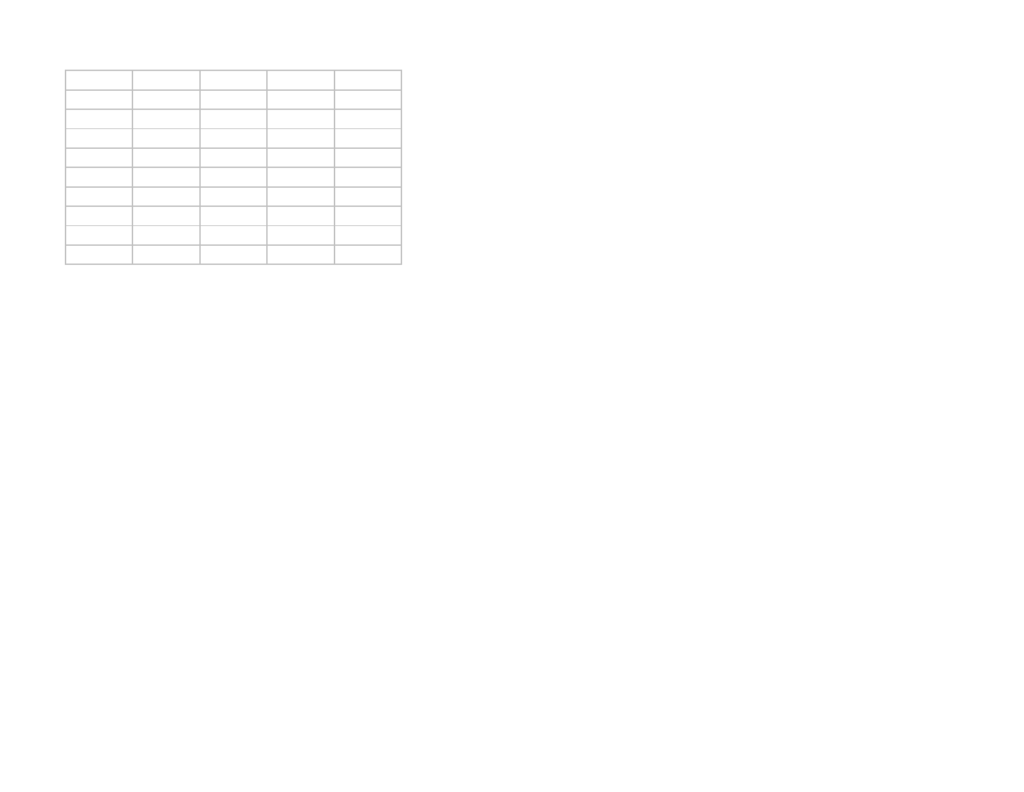|  | the control of the control of |  |
|--|-------------------------------|--|
|  |                               |  |
|  |                               |  |